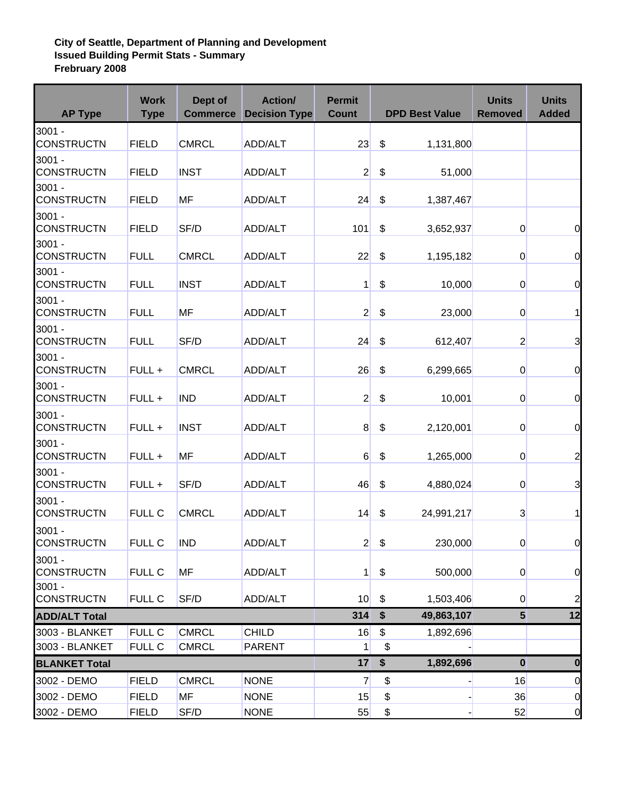## **City of Seattle, Department of Planning and Development Issued Building Permit Stats - Summary Frebruary 2008**

| <b>AP Type</b>                   | <b>Work</b><br><b>Type</b>     | Dept of<br><b>Commerce</b>   | <b>Action/</b><br><b>Decision Type</b> | <b>Permit</b><br><b>Count</b> |          | <b>DPD Best Value</b> | <b>Units</b><br><b>Removed</b> | <b>Units</b><br><b>Added</b> |
|----------------------------------|--------------------------------|------------------------------|----------------------------------------|-------------------------------|----------|-----------------------|--------------------------------|------------------------------|
| $3001 -$<br><b>CONSTRUCTN</b>    | <b>FIELD</b>                   | <b>CMRCL</b>                 | ADD/ALT                                | 23                            | \$       | 1,131,800             |                                |                              |
| $3001 -$<br><b>CONSTRUCTN</b>    | <b>FIELD</b>                   | <b>INST</b>                  | ADD/ALT                                | $\overline{2}$                | \$       | 51,000                |                                |                              |
| $3001 -$<br><b>CONSTRUCTN</b>    | <b>FIELD</b>                   | MF                           | ADD/ALT                                | 24                            | \$       | 1,387,467             |                                |                              |
| $3001 -$<br><b>CONSTRUCTN</b>    | <b>FIELD</b>                   | SF/D                         | ADD/ALT                                | 101                           | \$       | 3,652,937             | $\overline{0}$                 | $\overline{0}$               |
| $3001 -$<br><b>CONSTRUCTN</b>    | <b>FULL</b>                    | <b>CMRCL</b>                 | ADD/ALT                                | 22                            | \$       | 1,195,182             | $\overline{0}$                 | $\overline{0}$               |
| $3001 -$<br><b>CONSTRUCTN</b>    | <b>FULL</b>                    | <b>INST</b>                  | ADD/ALT                                | 1                             | \$       | 10,000                | $\overline{0}$                 | $\overline{0}$               |
| $3001 -$<br><b>CONSTRUCTN</b>    | <b>FULL</b>                    | MF                           | ADD/ALT                                | $\overline{2}$                | \$       | 23,000                | $\overline{0}$                 | $\mathbf{1}$                 |
| $3001 -$<br><b>CONSTRUCTN</b>    | <b>FULL</b>                    | SF/D                         | ADD/ALT                                | 24                            | \$       | 612,407               | $\overline{2}$                 | 3                            |
| $3001 -$<br><b>CONSTRUCTN</b>    | FULL +                         | <b>CMRCL</b>                 | ADD/ALT                                | 26                            | \$       | 6,299,665             | $\overline{0}$                 | $\overline{0}$               |
| $3001 -$<br><b>CONSTRUCTN</b>    | FULL +                         | <b>IND</b>                   | ADD/ALT                                | $\overline{2}$                | \$       | 10,001                | $\overline{0}$                 | $\overline{0}$               |
| $3001 -$<br><b>CONSTRUCTN</b>    | FULL +                         | <b>INST</b>                  | ADD/ALT                                | 8                             | \$       | 2,120,001             | $\overline{0}$                 | $\overline{0}$               |
| $3001 -$<br><b>CONSTRUCTN</b>    | FULL +                         | MF                           | ADD/ALT                                | 6                             | \$       | 1,265,000             | $\overline{0}$                 | $\overline{a}$               |
| $3001 -$<br><b>CONSTRUCTN</b>    | FULL +                         | SF/D                         | ADD/ALT                                | 46                            | \$       | 4,880,024             | $\overline{0}$                 | 3                            |
| $3001 -$<br><b>CONSTRUCTN</b>    | <b>FULL C</b>                  | <b>CMRCL</b>                 | ADD/ALT                                | 14                            | \$       | 24,991,217            | $\overline{3}$                 | 11                           |
| 3001 -<br><b>CONSTRUCTN</b>      | <b>FULL C</b>                  | <b>IND</b>                   | ADD/ALT                                | $\mathbf{2}$                  | \$       | 230,000               | $\overline{0}$                 | $\overline{0}$               |
| $3001 -$<br><b>CONSTRUCTN</b>    | <b>FULL C</b>                  | <b>MF</b>                    | ADD/ALT                                | 1                             | \$       | 500,000               | $\overline{0}$                 | $\overline{0}$               |
| $3001 -$<br><b>CONSTRUCTN</b>    | <b>FULL C</b>                  | SF/D                         | ADD/ALT                                | 10                            | \$       | 1,503,406             | $\overline{0}$                 | $\overline{a}$               |
| <b>ADD/ALT Total</b>             |                                |                              |                                        | 314                           | \$       | 49,863,107            | $5\phantom{1}$                 | 12                           |
| 3003 - BLANKET<br>3003 - BLANKET | <b>FULL C</b><br><b>FULL C</b> | <b>CMRCL</b><br><b>CMRCL</b> | <b>CHILD</b><br><b>PARENT</b>          | 16<br>1                       | \$<br>\$ | 1,892,696             |                                |                              |
| <b>BLANKET Total</b>             |                                |                              |                                        | 17                            | \$       | 1,892,696             | $\bf{0}$                       | $\mathbf{0}$                 |
| 3002 - DEMO                      | <b>FIELD</b>                   | <b>CMRCL</b>                 | <b>NONE</b>                            | $\overline{7}$                | \$       |                       | 16                             | $\overline{0}$               |
| 3002 - DEMO                      | <b>FIELD</b>                   | <b>MF</b>                    | <b>NONE</b>                            | 15                            | \$       |                       | 36                             | $\overline{0}$               |
| 3002 - DEMO                      | <b>FIELD</b>                   | SF/D                         | <b>NONE</b>                            | 55                            | \$       |                       | 52                             | $\overline{0}$               |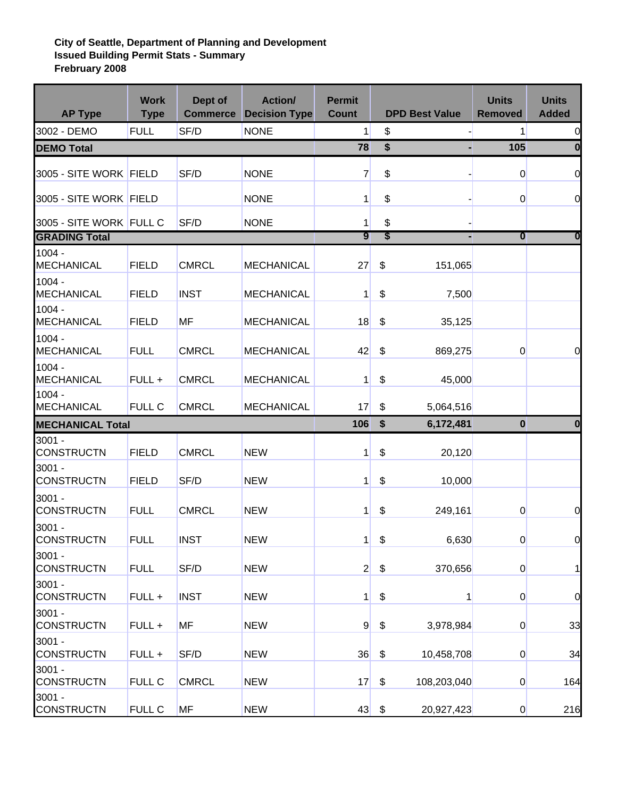## **City of Seattle, Department of Planning and Development Issued Building Permit Stats - Summary Frebruary 2008**

| <b>AP Type</b>                | <b>Work</b><br><b>Type</b> | Dept of<br><b>Commerce</b> | <b>Action/</b><br><b>Decision Type</b> | <b>Permit</b><br><b>Count</b> |               | <b>DPD Best Value</b> | <b>Units</b><br><b>Removed</b> | <b>Units</b><br><b>Added</b> |
|-------------------------------|----------------------------|----------------------------|----------------------------------------|-------------------------------|---------------|-----------------------|--------------------------------|------------------------------|
| 3002 - DEMO                   | <b>FULL</b>                | SF/D                       | <b>NONE</b>                            | $\mathbf{1}$                  | \$            |                       | 1                              | 0                            |
| <b>DEMO Total</b>             |                            |                            |                                        | 78                            | \$            |                       | 105                            | 0                            |
| 3005 - SITE WORK FIELD        |                            | SF/D                       | <b>NONE</b>                            | $\overline{7}$                | \$            |                       | $\overline{0}$                 | $\mathbf 0$                  |
| 3005 - SITE WORK FIELD        |                            |                            | <b>NONE</b>                            | 1                             | \$            |                       | $\overline{0}$                 | $\mathbf 0$                  |
| 3005 - SITE WORK FULL C       |                            | SF/D                       | <b>NONE</b>                            | 1                             | \$            |                       |                                |                              |
| <b>GRADING Total</b>          |                            |                            |                                        | 9                             | \$            |                       | $\overline{\mathbf{0}}$        | 0                            |
| $1004 -$<br><b>MECHANICAL</b> | <b>FIELD</b>               | <b>CMRCL</b>               | <b>MECHANICAL</b>                      | 27                            | \$            | 151,065               |                                |                              |
| $1004 -$<br><b>MECHANICAL</b> | <b>FIELD</b>               | <b>INST</b>                | <b>MECHANICAL</b>                      | 1                             | \$            | 7,500                 |                                |                              |
| $1004 -$<br><b>MECHANICAL</b> | <b>FIELD</b>               | <b>MF</b>                  | <b>MECHANICAL</b>                      | 18                            | \$            | 35,125                |                                |                              |
| $1004 -$<br><b>MECHANICAL</b> | <b>FULL</b>                | <b>CMRCL</b>               | <b>MECHANICAL</b>                      | 42                            | \$            | 869,275               | $\overline{0}$                 | $\overline{0}$               |
| $1004 -$<br><b>MECHANICAL</b> | FULL +                     | <b>CMRCL</b>               | <b>MECHANICAL</b>                      | 1                             | \$            | 45,000                |                                |                              |
| $1004 -$<br><b>MECHANICAL</b> | <b>FULL C</b>              | <b>CMRCL</b>               | <b>MECHANICAL</b>                      | 17                            | \$            | 5,064,516             |                                |                              |
| <b>MECHANICAL Total</b>       |                            |                            |                                        | 106                           | \$            | 6,172,481             | $\mathbf 0$                    | 0                            |
| $3001 -$                      |                            |                            |                                        |                               |               |                       |                                |                              |
| <b>CONSTRUCTN</b>             | <b>FIELD</b>               | <b>CMRCL</b>               | <b>NEW</b>                             | 1                             | \$            | 20,120                |                                |                              |
| $3001 -$<br><b>CONSTRUCTN</b> | <b>FIELD</b>               | SF/D                       | <b>NEW</b>                             | 1                             | \$            | 10,000                |                                |                              |
| $3001 -$<br><b>CONSTRUCTN</b> | <b>FULL</b>                | <b>CMRCL</b>               | <b>NEW</b>                             | 1                             | \$            | 249,161               | 0                              | $\mathbf 0$                  |
| $3001 -$<br>CONSTRUCTN        | <b>FULL</b>                | <b>INST</b>                | <b>NEW</b>                             | 1                             | \$            | 6,630                 | $\overline{0}$                 | $\overline{O}$               |
| $3001 -$<br><b>CONSTRUCTN</b> | <b>FULL</b>                | SF/D                       | <b>NEW</b>                             | $\overline{2}$                | \$            | 370,656               | $\overline{0}$                 | $\mathbf{1}$                 |
| $3001 -$<br><b>CONSTRUCTN</b> | FULL +                     | <b>INST</b>                | <b>NEW</b>                             | $\mathbf{1}$                  | \$            | 1                     | $\overline{0}$                 | $\overline{0}$               |
| $3001 -$<br><b>CONSTRUCTN</b> | FULL +                     | <b>MF</b>                  | <b>NEW</b>                             | $\overline{9}$                | \$            | 3,978,984             | $\overline{0}$                 | 33                           |
| $3001 -$<br><b>CONSTRUCTN</b> | FULL +                     | SF/D                       | <b>NEW</b>                             | 36                            | $\frac{1}{2}$ | 10,458,708            | $\overline{0}$                 | 34                           |
| $3001 -$<br><b>CONSTRUCTN</b> | FULL C                     | <b>CMRCL</b>               | <b>NEW</b>                             | 17                            | \$            | 108,203,040           | $\overline{0}$                 | 164                          |
| $3001 -$<br><b>CONSTRUCTN</b> | <b>FULL C</b>              | MF                         | <b>NEW</b>                             | 43                            | \$            | 20,927,423            | $\overline{0}$                 | 216                          |